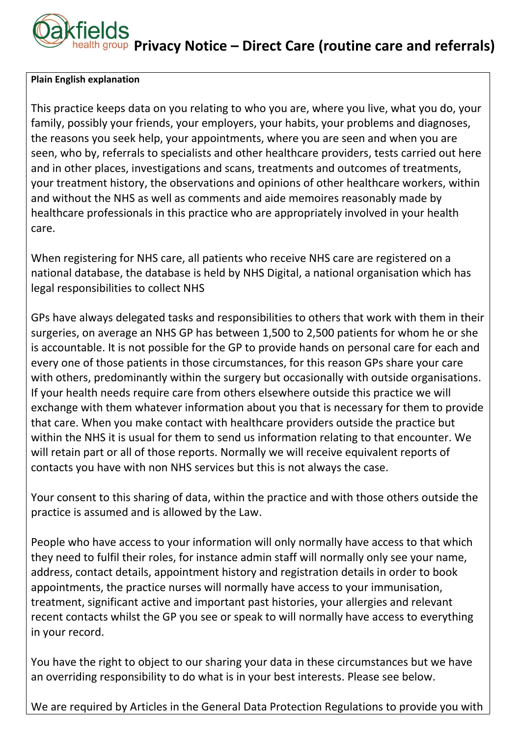## **Privacy Notice – Direct Care (routine care and referrals)**

## **Plain English explanation**

This practice keeps data on you relating to who you are, where you live, what you do, your family, possibly your friends, your employers, your habits, your problems and diagnoses, the reasons you seek help, your appointments, where you are seen and when you are seen, who by, referrals to specialists and other healthcare providers, tests carried out here and in other places, investigations and scans, treatments and outcomes of treatments, your treatment history, the observations and opinions of other healthcare workers, within and without the NHS as well as comments and aide memoires reasonably made by healthcare professionals in this practice who are appropriately involved in your health care.

When registering for NHS care, all patients who receive NHS care are registered on a national database, the database is held by NHS Digital, a national organisation which has legal responsibilities to collect NHS

GPs have always delegated tasks and responsibilities to others that work with them in their surgeries, on average an NHS GP has between 1,500 to 2,500 patients for whom he or she is accountable. It is not possible for the GP to provide hands on personal care for each and every one of those patients in those circumstances, for this reason GPs share your care with others, predominantly within the surgery but occasionally with outside organisations. If your health needs require care from others elsewhere outside this practice we will exchange with them whatever information about you that is necessary for them to provide that care. When you make contact with healthcare providers outside the practice but within the NHS it is usual for them to send us information relating to that encounter. We will retain part or all of those reports. Normally we will receive equivalent reports of contacts you have with non NHS services but this is not always the case.

Your consent to this sharing of data, within the practice and with those others outside the practice is assumed and is allowed by the Law.

People who have access to your information will only normally have access to that which they need to fulfil their roles, for instance admin staff will normally only see your name, address, contact details, appointment history and registration details in order to book appointments, the practice nurses will normally have access to your immunisation, treatment, significant active and important past histories, your allergies and relevant recent contacts whilst the GP you see or speak to will normally have access to everything in your record.

You have the right to object to our sharing your data in these circumstances but we have an overriding responsibility to do what is in your best interests. Please see below.

We are required by Articles in the General Data Protection Regulations to provide you with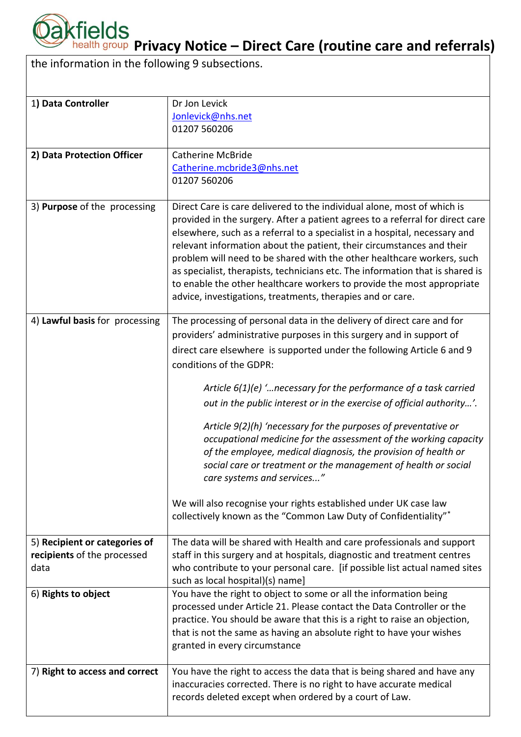

**Pakfields**<br>**Privacy Notice – Direct Care (routine care and referrals)** 

the information in the following 9 subsections.

| 1) Data Controller             | Dr Jon Levick                                                                                                                                            |
|--------------------------------|----------------------------------------------------------------------------------------------------------------------------------------------------------|
|                                | Jonlevick@nhs.net                                                                                                                                        |
|                                | 01207 560206                                                                                                                                             |
|                                |                                                                                                                                                          |
| 2) Data Protection Officer     | <b>Catherine McBride</b>                                                                                                                                 |
|                                | Catherine.mcbride3@nhs.net                                                                                                                               |
|                                | 01207 560206                                                                                                                                             |
|                                |                                                                                                                                                          |
| 3) Purpose of the processing   | Direct Care is care delivered to the individual alone, most of which is<br>provided in the surgery. After a patient agrees to a referral for direct care |
|                                | elsewhere, such as a referral to a specialist in a hospital, necessary and                                                                               |
|                                | relevant information about the patient, their circumstances and their                                                                                    |
|                                | problem will need to be shared with the other healthcare workers, such                                                                                   |
|                                | as specialist, therapists, technicians etc. The information that is shared is                                                                            |
|                                | to enable the other healthcare workers to provide the most appropriate                                                                                   |
|                                | advice, investigations, treatments, therapies and or care.                                                                                               |
|                                |                                                                                                                                                          |
| 4) Lawful basis for processing | The processing of personal data in the delivery of direct care and for                                                                                   |
|                                | providers' administrative purposes in this surgery and in support of                                                                                     |
|                                | direct care elsewhere is supported under the following Article 6 and 9                                                                                   |
|                                | conditions of the GDPR:                                                                                                                                  |
|                                | Article $6(1)(e)$ ' necessary for the performance of a task carried                                                                                      |
|                                |                                                                                                                                                          |
|                                | out in the public interest or in the exercise of official authority'.                                                                                    |
|                                | Article 9(2)(h) 'necessary for the purposes of preventative or                                                                                           |
|                                | occupational medicine for the assessment of the working capacity                                                                                         |
|                                | of the employee, medical diagnosis, the provision of health or                                                                                           |
|                                | social care or treatment or the management of health or social                                                                                           |
|                                | care systems and services"                                                                                                                               |
|                                | We will also recognise your rights established under UK case law                                                                                         |
|                                | collectively known as the "Common Law Duty of Confidentiality"*                                                                                          |
|                                |                                                                                                                                                          |
| 5) Recipient or categories of  | The data will be shared with Health and care professionals and support                                                                                   |
| recipients of the processed    | staff in this surgery and at hospitals, diagnostic and treatment centres                                                                                 |
| data                           | who contribute to your personal care. [if possible list actual named sites                                                                               |
|                                | such as local hospital)(s) name]                                                                                                                         |
| 6) Rights to object            | You have the right to object to some or all the information being                                                                                        |
|                                | processed under Article 21. Please contact the Data Controller or the                                                                                    |
|                                | practice. You should be aware that this is a right to raise an objection,                                                                                |
|                                | that is not the same as having an absolute right to have your wishes                                                                                     |
|                                | granted in every circumstance                                                                                                                            |
| 7) Right to access and correct | You have the right to access the data that is being shared and have any                                                                                  |
|                                | inaccuracies corrected. There is no right to have accurate medical                                                                                       |
|                                | records deleted except when ordered by a court of Law.                                                                                                   |
|                                |                                                                                                                                                          |